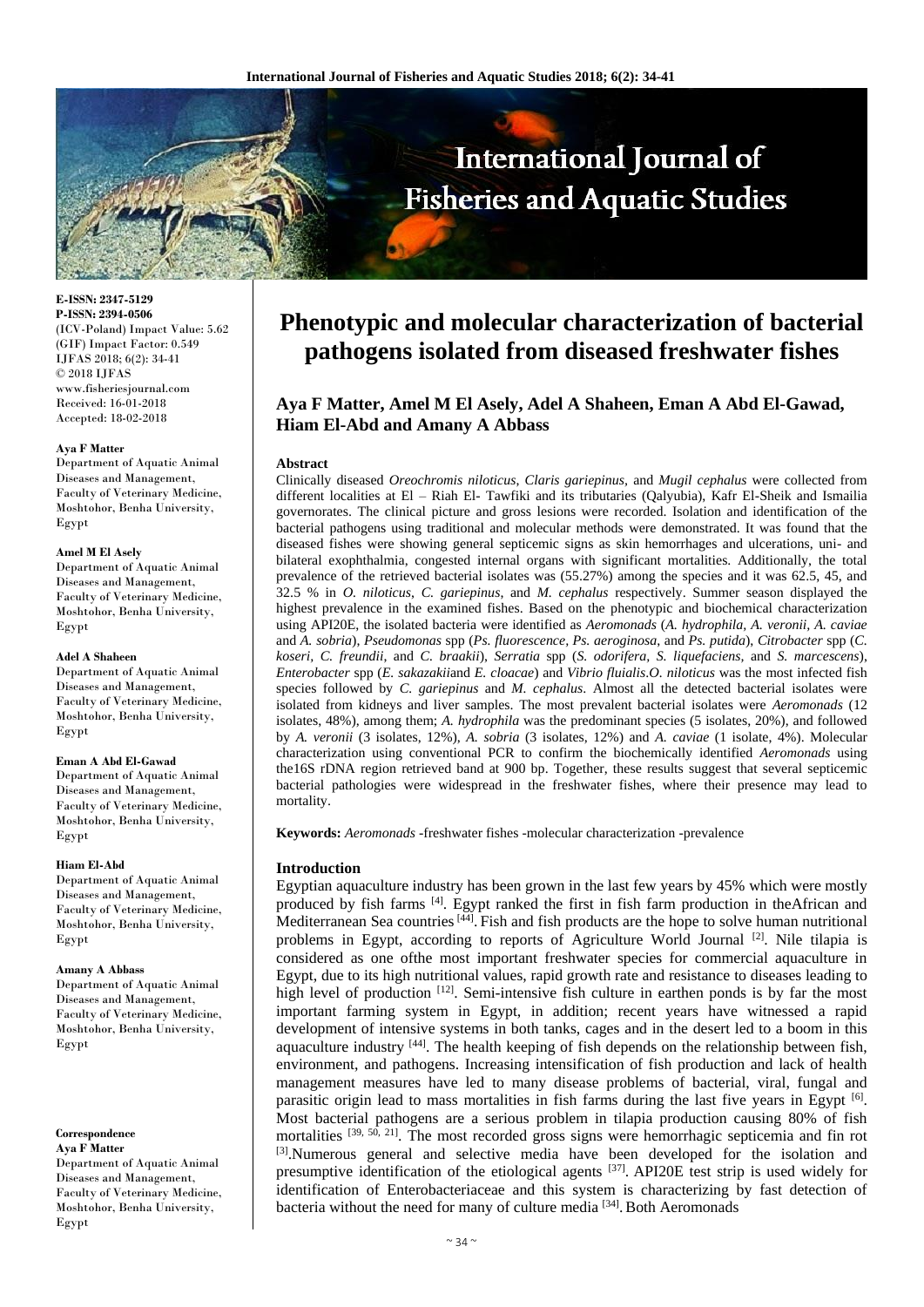

**E-ISSN: 2347-5129 P-ISSN: 2394-0506** (ICV-Poland) Impact Value: 5.62 (GIF) Impact Factor: 0.549 IJFAS 2018; 6(2): 34-41 © 2018 IJFAS www.fisheriesjournal.com Received: 16-01-2018 Accepted: 18-02-2018

#### **Aya F Matter**

Department of Aquatic Animal Diseases and Management, Faculty of Veterinary Medicine, Moshtohor, Benha University, Egypt

## **Amel M El Asely**

Department of Aquatic Animal Diseases and Management, Faculty of Veterinary Medicine, Moshtohor, Benha University, Egypt

## **Adel A Shaheen**

Department of Aquatic Animal Diseases and Management, Faculty of Veterinary Medicine, Moshtohor, Benha University, Egypt

#### **Eman A Abd El-Gawad**

Department of Aquatic Animal Diseases and Management, Faculty of Veterinary Medicine, Moshtohor, Benha University, Egypt

### **Hiam El-Abd**

Department of Aquatic Animal Diseases and Management, Faculty of Veterinary Medicine, Moshtohor, Benha University, Egypt

### **Amany A Abbass**

Department of Aquatic Animal Diseases and Management, Faculty of Veterinary Medicine, Moshtohor, Benha University, Egypt

**Correspondence**

**Aya F Matter** Department of Aquatic Animal Diseases and Management, Faculty of Veterinary Medicine, Moshtohor, Benha University, Egypt

# **Phenotypic and molecular characterization of bacterial pathogens isolated from diseased freshwater fishes**

# **Aya F Matter, Amel M El Asely, Adel A Shaheen, Eman A Abd El-Gawad, Hiam El-Abd and Amany A Abbass**

### **Abstract**

Clinically diseased *Oreochromis niloticus*, *Claris gariepinus,* and *Mugil cephalus* were collected from different localities at El – Riah El- Tawfiki and its tributaries (Qalyubia), Kafr El-Sheik and Ismailia governorates. The clinical picture and gross lesions were recorded. Isolation and identification of the bacterial pathogens using traditional and molecular methods were demonstrated. It was found that the diseased fishes were showing general septicemic signs as skin hemorrhages and ulcerations, uni- and bilateral exophthalmia, congested internal organs with significant mortalities. Additionally, the total prevalence of the retrieved bacterial isolates was (55.27%) among the species and it was 62.5, 45, and 32.5 % in *O. niloticus*, *C. gariepinus*, and *M. cephalus* respectively. Summer season displayed the highest prevalence in the examined fishes. Based on the phenotypic and biochemical characterization using API20E, the isolated bacteria were identified as *Aeromonads* (*A. hydrophila, A. veronii, A. caviae* and *A. sobria*), *Pseudomonas* spp (*Ps. fluorescence, Ps. aeroginosa*, and *Ps. putida*), *Citrobacter* spp (*C. koseri, C. freundii*, and *C. braakii*), *Serratia* spp (*S. odorifera, S. liquefaciens,* and *S. marcescens*), *Enterobacter* spp (*E. sakazakii*and *E. cloacae*) and *Vibrio fluialis*.*O. niloticus* was the most infected fish species followed by *C. gariepinus* and *M. cephalus*. Almost all the detected bacterial isolates were isolated from kidneys and liver samples. The most prevalent bacterial isolates were *Aeromonads* (12 isolates, 48%), among them; *A. hydrophila* was the predominant species (5 isolates, 20%), and followed by *A. veronii* (3 isolates, 12%), *A. sobria* (3 isolates, 12%) and *A. caviae* (1 isolate, 4%). Molecular characterization using conventional PCR to confirm the biochemically identified *Aeromonads* using the16S rDNA region retrieved band at 900 bp. Together, these results suggest that several septicemic bacterial pathologies were widespread in the freshwater fishes, where their presence may lead to mortality.

**Keywords:** *Aeromonads* -freshwater fishes -molecular characterization -prevalence

## **Introduction**

Egyptian aquaculture industry has been grown in the last few years by 45% which were mostly produced by fish farms  $[4]$ . Egypt ranked the first in fish farm production in theAfrican and Mediterranean Sea countries<sup>[44]</sup>. Fish and fish products are the hope to solve human nutritional problems in Egypt, according to reports of Agriculture World Journal [2]. Nile tilapia is considered as one ofthe most important freshwater species for commercial aquaculture in Egypt, due to its high nutritional values, rapid growth rate and resistance to diseases leading to high level of production [12]. Semi-intensive fish culture in earthen ponds is by far the most important farming system in Egypt, in addition; recent years have witnessed a rapid development of intensive systems in both tanks, cages and in the desert led to a boom in this aquaculture industry [44]. The health keeping of fish depends on the relationship between fish, environment, and pathogens. Increasing intensification of fish production and lack of health management measures have led to many disease problems of bacterial, viral, fungal and parasitic origin lead to mass mortalities in fish farms during the last five years in Egypt [6]. Most bacterial pathogens are a serious problem in tilapia production causing 80% of fish mortalities <sup>[39, 50, 21]</sup>. The most recorded gross signs were hemorrhagic septicemia and fin rot [3].Numerous general and selective media have been developed for the isolation and presumptive identification of the etiological agents  $^{[37]}$ . API20E test strip is used widely for identification of Enterobacteriaceae and this system is characterizing by fast detection of bacteria without the need for many of culture media [34]. Both Aeromonads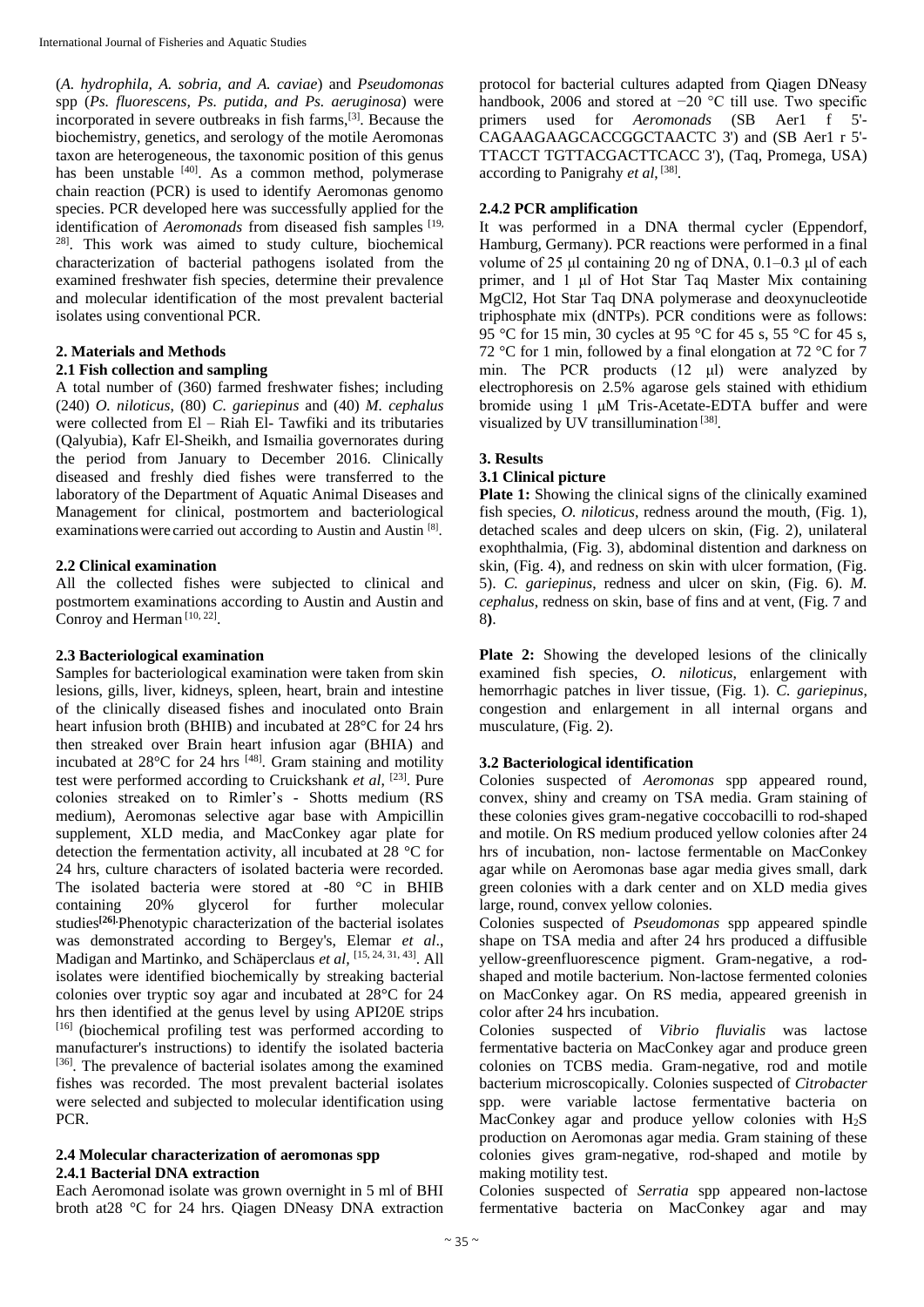(*A. hydrophila, A. sobria, and A. caviae*) and *Pseudomonas* spp (*Ps. fluorescens, Ps. putida, and Ps. aeruginosa*) were incorporated in severe outbreaks in fish farms,[3]. Because the biochemistry, genetics, and serology of the motile Aeromonas taxon are heterogeneous, the taxonomic position of this genus has been unstable <sup>[40]</sup>. As a common method, polymerase chain reaction (PCR) is used to identify Aeromonas genomo species. PCR developed here was successfully applied for the identification of *Aeromonads* from diseased fish samples [19, <sup>28]</sup>. This work was aimed to study culture, biochemical characterization of bacterial pathogens isolated from the examined freshwater fish species, determine their prevalence and molecular identification of the most prevalent bacterial isolates using conventional PCR.

# **2. Materials and Methods**

# **2.1 Fish collection and sampling**

A total number of (360) farmed freshwater fishes; including (240) *O. niloticus*, (80) *C. gariepinus* and (40) *M. cephalus* were collected from El – Riah El- Tawfiki and its tributaries (Qalyubia), Kafr El-Sheikh, and Ismailia governorates during the period from January to December 2016. Clinically diseased and freshly died fishes were transferred to the laboratory of the Department of Aquatic Animal Diseases and Management for clinical, postmortem and bacteriological examinations were carried out according to Austin and Austin [8].

# **2.2 Clinical examination**

All the collected fishes were subjected to clinical and postmortem examinations according to Austin and Austin and Conroy and Herman<sup>[10, 22]</sup>.

## **2.3 Bacteriological examination**

Samples for bacteriological examination were taken from skin lesions, gills, liver, kidneys, spleen, heart, brain and intestine of the clinically diseased fishes and inoculated onto Brain heart infusion broth (BHIB) and incubated at 28°C for 24 hrs then streaked over Brain heart infusion agar (BHIA) and incubated at  $28^{\circ}$ C for 24 hrs <sup>[48]</sup>. Gram staining and motility test were performed according to Cruickshank *et al*, [23] . Pure colonies streaked on to Rimler's - Shotts medium (RS medium), Aeromonas selective agar base with Ampicillin supplement, XLD media, and MacConkey agar plate for detection the fermentation activity, all incubated at 28 °C for 24 hrs, culture characters of isolated bacteria were recorded. The isolated bacteria were stored at -80 °C in BHIB containing 20% glycerol for further molecular studies**[26].**Phenotypic characterization of the bacterial isolates was demonstrated according to Bergey's, Elemar *et al*., Madigan and Martinko, and Schäperclaus *et al,*  [15, 24, 31, 43] . All isolates were identified biochemically by streaking bacterial colonies over tryptic soy agar and incubated at 28°C for 24 hrs then identified at the genus level by using API20E strips [16] (biochemical profiling test was performed according to manufacturer's instructions) to identify the isolated bacteria [36]. The prevalence of bacterial isolates among the examined fishes was recorded. The most prevalent bacterial isolates were selected and subjected to molecular identification using PCR.

## **2.4 Molecular characterization of aeromonas spp 2.4.1 Bacterial DNA extraction**

Each Aeromonad isolate was grown overnight in 5 ml of BHI broth at28 °C for 24 hrs. Qiagen DNeasy DNA extraction

protocol for bacterial cultures adapted from Qiagen DNeasy handbook, 2006 and stored at −20 °C till use. Two specific primers used for *Aeromonads* (SB Aer1 f 5'- CAGAAGAAGCACCGGCTAACTC 3') and (SB Aer1 r 5'- TTACCT TGTTACGACTTCACC 3'), (Taq, Promega, USA) according to Panigrahy *et al*, [38] .

# **2.4.2 PCR amplification**

It was performed in a DNA thermal cycler (Eppendorf, Hamburg, Germany). PCR reactions were performed in a final volume of 25 μl containing 20 ng of DNA, 0.1–0.3 μl of each primer, and 1 μl of Hot Star Taq Master Mix containing MgCl2, Hot Star Taq DNA polymerase and deoxynucleotide triphosphate mix (dNTPs). PCR conditions were as follows: 95 °C for 15 min, 30 cycles at 95 °C for 45 s, 55 °C for 45 s, 72 °C for 1 min, followed by a final elongation at 72 °C for 7 min. The PCR products (12 μl) were analyzed by electrophoresis on 2.5% agarose gels stained with ethidium bromide using 1 μM Tris-Acetate-EDTA buffer and were visualized by UV transillumination<sup>[38]</sup>.

## **3. Results**

# **3.1 Clinical picture**

**Plate 1:** Showing the clinical signs of the clinically examined fish species, *O. niloticus*, redness around the mouth, (Fig. 1), detached scales and deep ulcers on skin, (Fig. 2), unilateral exophthalmia, (Fig. 3), abdominal distention and darkness on skin, (Fig. 4), and redness on skin with ulcer formation, (Fig. 5). *C. gariepinus*, redness and ulcer on skin, (Fig. 6). *M. cephalus*, redness on skin, base of fins and at vent, (Fig. 7 and 8**)**.

**Plate 2:** Showing the developed lesions of the clinically examined fish species, *O. niloticus*, enlargement with hemorrhagic patches in liver tissue, (Fig. 1). *C. gariepinus*, congestion and enlargement in all internal organs and musculature, (Fig. 2).

# **3.2 Bacteriological identification**

Colonies suspected of *Aeromonas* spp appeared round, convex, shiny and creamy on TSA media. Gram staining of these colonies gives gram-negative coccobacilli to rod-shaped and motile. On RS medium produced yellow colonies after 24 hrs of incubation, non- lactose fermentable on MacConkey agar while on Aeromonas base agar media gives small, dark green colonies with a dark center and on XLD media gives large, round, convex yellow colonies.

Colonies suspected of *Pseudomonas* spp appeared spindle shape on TSA media and after 24 hrs produced a diffusible yellow-greenfluorescence pigment. Gram-negative, a rodshaped and motile bacterium. Non-lactose fermented colonies on MacConkey agar. On RS media, appeared greenish in color after 24 hrs incubation.

Colonies suspected of *Vibrio fluvialis* was lactose fermentative bacteria on MacConkey agar and produce green colonies on TCBS media. Gram-negative, rod and motile bacterium microscopically. Colonies suspected of *Citrobacter* spp. were variable lactose fermentative bacteria on MacConkey agar and produce yellow colonies with  $H_2S$ production on Aeromonas agar media. Gram staining of these colonies gives gram-negative, rod-shaped and motile by making motility test.

Colonies suspected of *Serratia* spp appeared non-lactose fermentative bacteria on MacConkey agar and may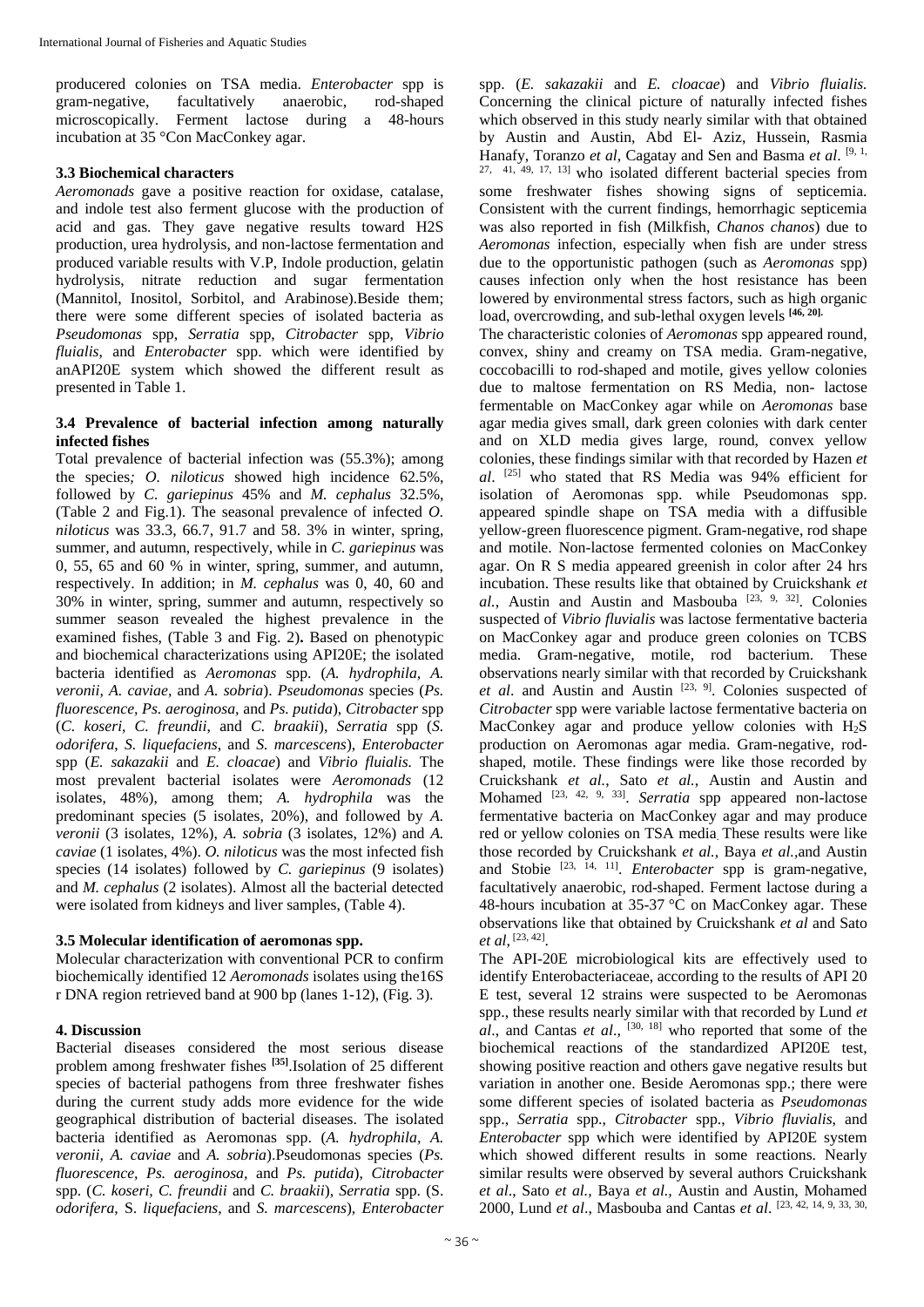producered colonies on TSA media. *Enterobacter* spp is gram-negative, facultatively anaerobic, rod-shaped microscopically. Ferment lactose during a 48-hours incubation at 35 °Con MacConkey agar.

# **3.3 Biochemical characters**

*Aeromonads* gave a positive reaction for oxidase, catalase, and indole test also ferment glucose with the production of acid and gas. They gave negative results toward H2S production, urea hydrolysis, and non-lactose fermentation and produced variable results with V.P, Indole production, gelatin hydrolysis, nitrate reduction and sugar fermentation (Mannitol, Inositol, Sorbitol, and Arabinose).Beside them; there were some different species of isolated bacteria as *Pseudomonas* spp, *Serratia* spp, *Citrobacter* spp, *Vibrio fluialis*, and *Enterobacter* spp. which were identified by anAPI20E system which showed the different result as presented in Table 1.

# **3.4 Prevalence of bacterial infection among naturally infected fishes**

Total prevalence of bacterial infection was (55.3%); among the species*; O. niloticus* showed high incidence 62.5%, followed by *C. gariepinus* 45% and *M. cephalus* 32.5%, (Table 2 and Fig.1). The seasonal prevalence of infected *O. niloticus* was 33.3, 66.7, 91.7 and 58. 3% in winter, spring, summer, and autumn, respectively, while in *C. gariepinus* was 0, 55, 65 and 60 % in winter, spring, summer, and autumn, respectively. In addition; in *M. cephalus* was 0, 40, 60 and 30% in winter, spring, summer and autumn, respectively so summer season revealed the highest prevalence in the examined fishes, (Table 3 and Fig. 2)**.** Based on phenotypic and biochemical characterizations using API20E; the isolated bacteria identified as *Aeromonas* spp. (*A. hydrophila, A. veronii, A. caviae,* and *A. sobria*). *Pseudomonas* species (*Ps. fluorescence, Ps. aeroginosa,* and *Ps. putida*), *Citrobacter* spp (*C. koseri, C. freundii*, and *C. braakii*), *Serratia* spp (*S. odorifera*, *S. liquefaciens*, and *S. marcescens*), *Enterobacter* spp (*E. sakazakii* and *E. cloacae*) and *Vibrio fluialis.* The most prevalent bacterial isolates were *Aeromonads* (12 isolates, 48%), among them; *A. hydrophila* was the predominant species (5 isolates, 20%), and followed by *A. veronii* (3 isolates, 12%), *A. sobria* (3 isolates, 12%) and *A. caviae* (1 isolates, 4%). *O. niloticus* was the most infected fish species (14 isolates) followed by *C. gariepinus* (9 isolates) and *M. cephalus* (2 isolates). Almost all the bacterial detected were isolated from kidneys and liver samples, (Table 4).

# **3.5 Molecular identification of aeromonas spp.**

Molecular characterization with conventional PCR to confirm biochemically identified 12 *Aeromonads* isolates using the16S r DNA region retrieved band at 900 bp (lanes 1-12), (Fig. 3).

# **4. Discussion**

Bacterial diseases considered the most serious disease problem among freshwater fishes **[35]**.Isolation of 25 different species of bacterial pathogens from three freshwater fishes during the current study adds more evidence for the wide geographical distribution of bacterial diseases. The isolated bacteria identified as Aeromonas spp. (*A. hydrophila, A. veronii, A. caviae* and *A. sobria*).Pseudomonas species (*Ps. fluorescence, Ps. aeroginosa,* and *Ps. putida*), *Citrobacter* spp. (*C. koseri, C. freundii* and *C. braakii*), *Serratia* spp. (S. *odorifera*, S. *liquefaciens*, and *S. marcescens*), *Enterobacter*

spp. (*E. sakazakii* and *E. cloacae*) and *Vibrio fluialis.* Concerning the clinical picture of naturally infected fishes which observed in this study nearly similar with that obtained by Austin and Austin, Abd El- Aziz, Hussein, Rasmia Hanafy, Toranzo *et al*, Cagatay and Sen and Basma *et al*. [9, 1, 27, 41, 49, 17, 13] who isolated different bacterial species from some freshwater fishes showing signs of septicemia. Consistent with the current findings, hemorrhagic septicemia was also reported in fish (Milkfish, *Chanos chanos*) due to *Aeromonas* infection, especially when fish are under stress due to the opportunistic pathogen (such as *Aeromonas* spp) causes infection only when the host resistance has been lowered by environmental stress factors, such as high organic load, overcrowding, and sub-lethal oxygen levels **[46, 20].**

The characteristic colonies of *Aeromonas* spp appeared round, convex, shiny and creamy on TSA media. Gram-negative, coccobacilli to rod-shaped and motile, gives yellow colonies due to maltose fermentation on RS Media, non- lactose fermentable on MacConkey agar while on *Aeromonas* base agar media gives small, dark green colonies with dark center and on XLD media gives large, round, convex yellow colonies, these findings similar with that recorded by Hazen *et al*. [25] who stated that RS Media was 94% efficient for isolation of Aeromonas spp. while Pseudomonas spp. appeared spindle shape on TSA media with a diffusible yellow-green fluorescence pigment. Gram-negative, rod shape and motile. Non-lactose fermented colonies on MacConkey agar. On R S media appeared greenish in color after 24 hrs incubation. These results like that obtained by Cruickshank *et al.*, Austin and Austin and Masbouba [23, 9, 32]. Colonies suspected of *Vibrio fluvialis* was lactose fermentative bacteria on MacConkey agar and produce green colonies on TCBS media. Gram-negative, motile, rod bacterium. These observations nearly similar with that recorded by Cruickshank *et al*. and Austin and Austin [23, 9]. Colonies suspected of *Citrobacter* spp were variable lactose fermentative bacteria on MacConkey agar and produce yellow colonies with  $H_2S$ production on Aeromonas agar media. Gram-negative, rodshaped, motile. These findings were like those recorded by Cruickshank *et al.*, Sato *et al.*, Austin and Austin and Mohamed <sup>[23, 42, 9, 33]</sup>. *Serratia* spp appeared non-lactose fermentative bacteria on MacConkey agar and may produce red or yellow colonies on TSA media. These results were like those recorded by Cruickshank *et al.,* Baya *et al.,*and Austin and Stobie<sup>[23, 14, 11]</sup>. *Enterobacter* spp is gram-negative, facultatively anaerobic, rod-shaped. Ferment lactose during a 48-hours incubation at 35-37 °C on MacConkey agar. These observations like that obtained by Cruickshank *et al* and Sato *et al,* [23, 42] .

The API-20E microbiological kits are effectively used to identify Enterobacteriaceae, according to the results of API 20 E test, several 12 strains were suspected to be Aeromonas spp., these results nearly similar with that recorded by Lund *et al*., and Cantas *et al*., [30, 18] who reported that some of the biochemical reactions of the standardized API20E test, showing positive reaction and others gave negative results but variation in another one. Beside Aeromonas spp.; there were some different species of isolated bacteria as *Pseudomonas* spp., *Serratia* spp., *Citrobacter* spp., *Vibrio fluvialis*, and *Enterobacter* spp which were identified by API20E system which showed different results in some reactions. Nearly similar results were observed by several authors Cruickshank *et al*., Sato *et al.,* Baya *et al.,* Austin and Austin, Mohamed 2000, Lund *et al*., Masbouba and Cantas *et al*. [23, 42, 14, 9, 33, 30,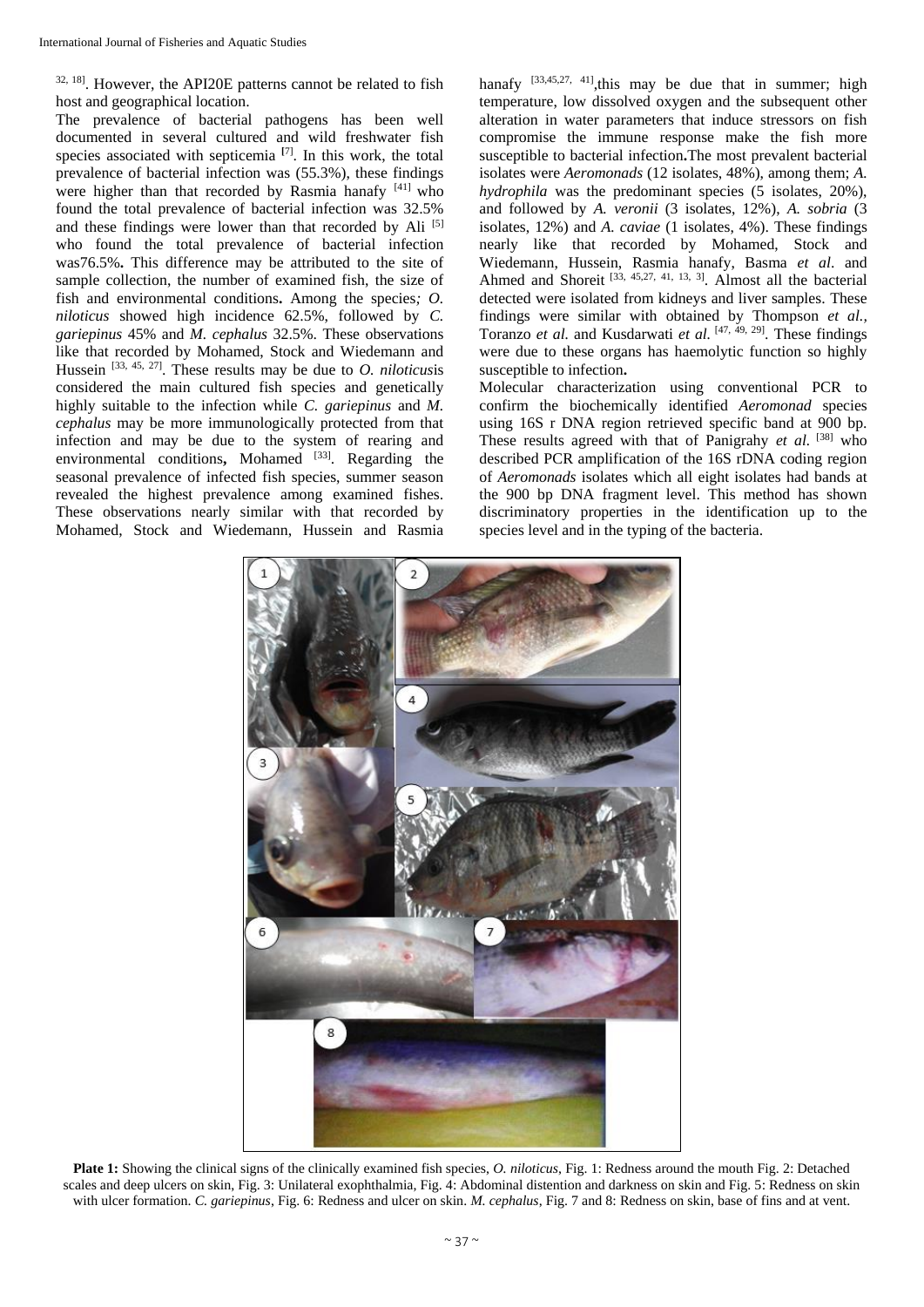32, 18] . However, the API20E patterns cannot be related to fish host and geographical location.

The prevalence of bacterial pathogens has been well documented in several cultured and wild freshwater fish species associated with septicemia **[**7] . In this work, the total prevalence of bacterial infection was (55.3%), these findings were higher than that recorded by Rasmia hanafy [41] who found the total prevalence of bacterial infection was 32.5% and these findings were lower than that recorded by Ali [5] who found the total prevalence of bacterial infection was76.5%**.** This difference may be attributed to the site of sample collection, the number of examined fish, the size of fish and environmental conditions**.** Among the species*; O. niloticus* showed high incidence 62.5%, followed by *C. gariepinus* 45% and *M. cephalus* 32.5%. These observations like that recorded by Mohamed, Stock and Wiedemann and Hussein [33, 45, 27] . These results may be due to *O. niloticus*is considered the main cultured fish species and genetically highly suitable to the infection while *C. gariepinus* and *M. cephalus* may be more immunologically protected from that infection and may be due to the system of rearing and environmental conditions, Mohamed <sup>[33]</sup>. Regarding the seasonal prevalence of infected fish species, summer season revealed the highest prevalence among examined fishes. These observations nearly similar with that recorded by Mohamed, Stock and Wiedemann, Hussein and Rasmia hanafy  $[33,45,27, 41]$ , this may be due that in summer; high temperature, low dissolved oxygen and the subsequent other alteration in water parameters that induce stressors on fish compromise the immune response make the fish more susceptible to bacterial infection**.**The most prevalent bacterial isolates were *Aeromonads* (12 isolates, 48%), among them; *A. hydrophila* was the predominant species (5 isolates, 20%), and followed by *A. veronii* (3 isolates, 12%), *A. sobria* (3 isolates, 12%) and *A. caviae* (1 isolates, 4%). These findings nearly like that recorded by Mohamed, Stock and Wiedemann, Hussein, Rasmia hanafy, Basma *et al*. and Ahmed and Shoreit<sup>[33, 45,27, 41, 13, 3]</sup>. Almost all the bacterial detected were isolated from kidneys and liver samples. These findings were similar with obtained by Thompson *et al.,* Toranzo *et al.* and Kusdarwati *et al.* [47, 49, 29]. These findings were due to these organs has haemolytic function so highly susceptible to infection**.**

Molecular characterization using conventional PCR to confirm the biochemically identified *Aeromonad* species using 16S r DNA region retrieved specific band at 900 bp. These results agreed with that of Panigrahy *et al.* [38] who described PCR amplification of the 16S rDNA coding region of *Aeromonads* isolates which all eight isolates had bands at the 900 bp DNA fragment level. This method has shown discriminatory properties in the identification up to the species level and in the typing of the bacteria.



**Plate 1:** Showing the clinical signs of the clinically examined fish species, *O. niloticus*, Fig. 1: Redness around the mouth Fig. 2: Detached scales and deep ulcers on skin, Fig. 3: Unilateral exophthalmia, Fig. 4: Abdominal distention and darkness on skin and Fig. 5: Redness on skin with ulcer formation. *C. gariepinus*, Fig. 6: Redness and ulcer on skin. *M. cephalus*, Fig. 7 and 8: Redness on skin, base of fins and at vent.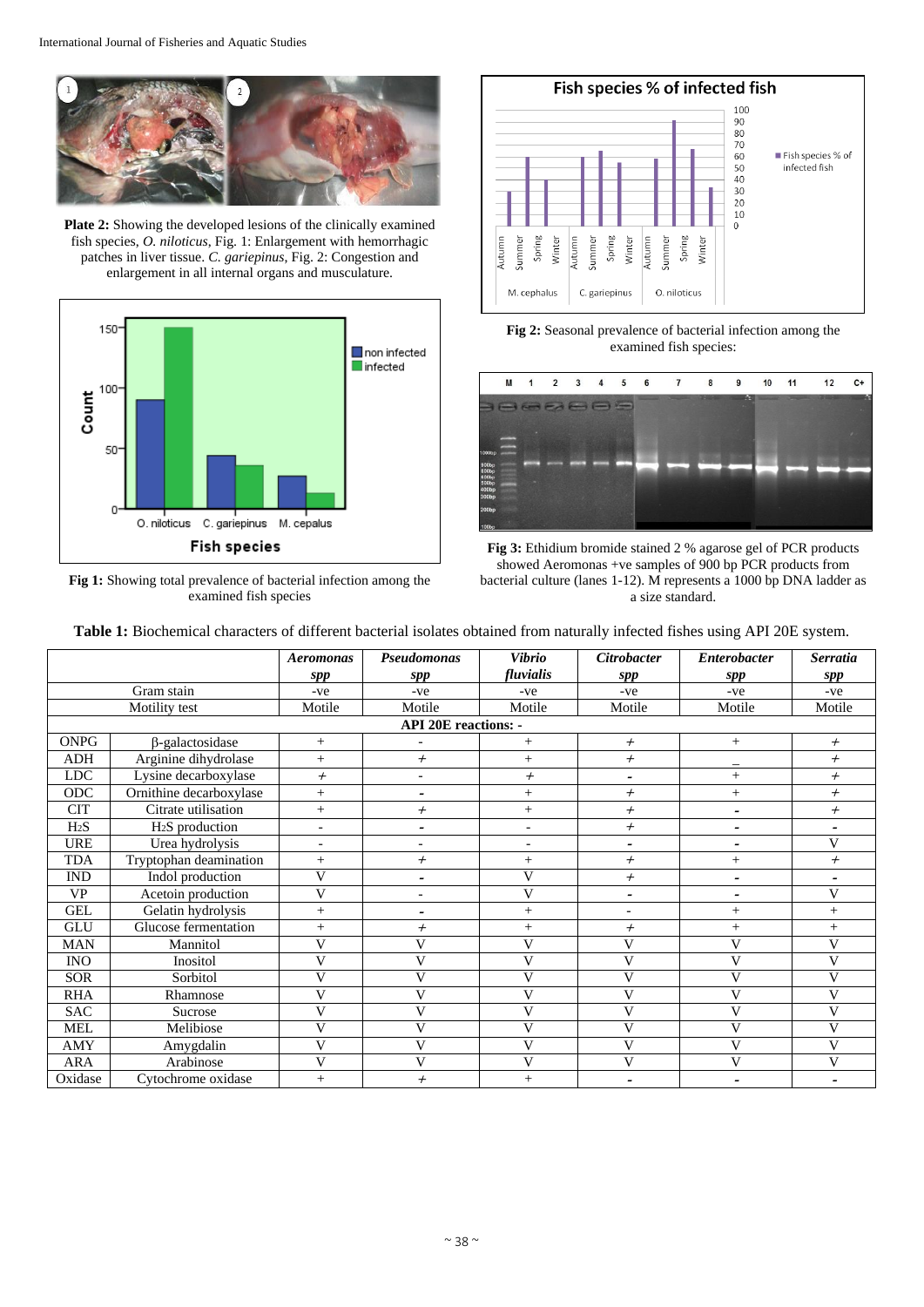

**Plate 2:** Showing the developed lesions of the clinically examined fish species, *O. niloticus*, Fig. 1: Enlargement with hemorrhagic patches in liver tissue. *C. gariepinus*, Fig. 2: Congestion and enlargement in all internal organs and musculature.



**Fig 1:** Showing total prevalence of bacterial infection among the examined fish species



**Fig 2:** Seasonal prevalence of bacterial infection among the examined fish species:





| <b>Table 1:</b> Biochemical characters of different bacterial isolates obtained from naturally infected fishes using API 20E system. |
|--------------------------------------------------------------------------------------------------------------------------------------|
|--------------------------------------------------------------------------------------------------------------------------------------|

|                             |                         | <b>Aeromonas</b>         | <b>Pseudomonas</b>       | <b>Vibrio</b>            | <b>Citrobacter</b>       | <b>Enterobacter</b>      | <b>Serratia</b>          |
|-----------------------------|-------------------------|--------------------------|--------------------------|--------------------------|--------------------------|--------------------------|--------------------------|
|                             |                         | spp                      | spp                      | fluvialis                | spp                      | spp                      | spp                      |
|                             | Gram stain              | -ve                      | -ve                      | -ve                      | -ve                      | -ve                      | -ve                      |
|                             | Motility test           | Motile                   | Motile                   | Motile                   | Motile                   | Motile                   | Motile                   |
| <b>API 20E reactions: -</b> |                         |                          |                          |                          |                          |                          |                          |
| <b>ONPG</b>                 | $\beta$ -galactosidase  | $+$                      |                          | $^{+}$                   | $^{+}$                   | $^{+}$                   | $^{+}$                   |
| ADH                         | Arginine dihydrolase    | $+$                      | $^{+}$                   | $^{+}$                   | $^{+}$                   |                          | $^{+}$                   |
| <b>LDC</b>                  | Lysine decarboxylase    | $^{+}$                   |                          | $^{+}$                   | $\overline{\phantom{0}}$ | $^{+}$                   | $^{+}$                   |
| ODC                         | Ornithine decarboxylase | $+$                      |                          | $^{+}$                   | $^{+}$                   | $+$                      | $^{+}$                   |
| <b>CIT</b>                  | Citrate utilisation     | $+$                      | $^{+}$                   | $^{+}$                   | $^{+}$                   | $\overline{\phantom{0}}$ | $^{+}$                   |
| H <sub>2</sub> S            | $H2S$ production        | $\overline{\phantom{a}}$ | $\overline{a}$           | $\overline{\phantom{a}}$ | $^{+}$                   | -                        | $\overline{\phantom{a}}$ |
| <b>URE</b>                  | Urea hydrolysis         | ٠                        |                          | $\overline{a}$           | $\overline{\phantom{0}}$ | $\overline{\phantom{0}}$ | $\overline{V}$           |
| <b>TDA</b>                  | Tryptophan deamination  | $+$                      | $^{+}$                   | $^{+}$                   | $^{+}$                   | $+$                      | $^{+}$                   |
| <b>IND</b>                  | Indol production        | $\overline{V}$           | $\overline{\phantom{a}}$ | V                        | $^{+}$                   | -                        | $\overline{\phantom{a}}$ |
| <b>VP</b>                   | Acetoin production      | $\overline{V}$           |                          | V                        | $\overline{a}$           | -                        | V                        |
| <b>GEL</b>                  | Gelatin hydrolysis      | $+$                      |                          | $^{+}$                   | $\overline{a}$           | $^{+}$                   | $^{+}$                   |
| <b>GLU</b>                  | Glucose fermentation    | $+$                      | $^{+}$                   | $^{+}$                   | $^{+}$                   | $^{+}$                   | $^{+}$                   |
| <b>MAN</b>                  | Mannitol                | V                        | V                        | V                        | V                        | V                        | V                        |
| <b>INO</b>                  | Inositol                | $\overline{V}$           | $\mathbf{V}$             | V                        | V                        | $\mathbf{V}$             | V                        |
| <b>SOR</b>                  | Sorbitol                | V                        | V                        | V                        | V                        | $\mathbf V$              | V                        |
| <b>RHA</b>                  | Rhamnose                | V                        | V                        | V                        | V                        | V                        | V                        |
| <b>SAC</b>                  | Sucrose                 | $\overline{V}$           | V                        | $\mathbf{V}$             | $\overline{\mathsf{V}}$  | V                        | $\overline{\mathbf{V}}$  |
| <b>MEL</b>                  | Melibiose               | V                        | V                        | V                        | V                        | V                        | V                        |
| AMY                         | Amygdalin               | V                        | V                        | V                        | V                        | V                        | V                        |
| <b>ARA</b>                  | Arabinose               | $\overline{V}$           | V                        | V                        | $\mathbf V$              | $\mathbf{V}$             | V                        |
| Oxidase                     | Cytochrome oxidase      | $+$                      | $^{+}$                   | $^{+}$                   | $\overline{a}$           | $\overline{\phantom{0}}$ |                          |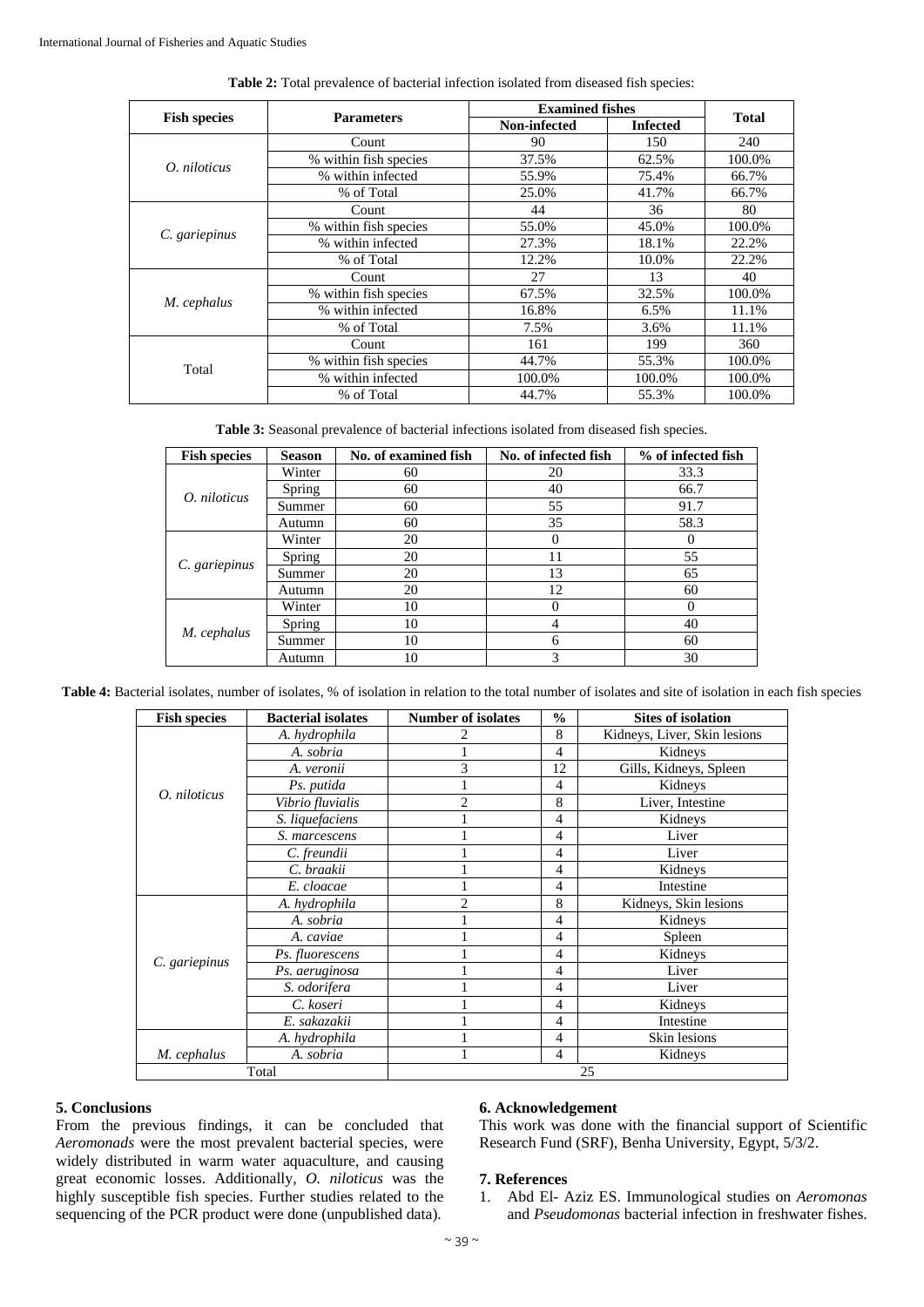|                     |                       | <b>Examined fishes</b> |                 |              |  |
|---------------------|-----------------------|------------------------|-----------------|--------------|--|
| <b>Fish species</b> | <b>Parameters</b>     | Non-infected           | <b>Infected</b> | <b>Total</b> |  |
|                     | Count                 | 90                     | 150             | 240          |  |
| O. niloticus        | % within fish species | 37.5%                  | 62.5%           | 100.0%       |  |
|                     | % within infected     | 55.9%                  | 75.4%           | 66.7%        |  |
|                     | % of Total            | 25.0%                  | 41.7%           | 66.7%        |  |
|                     | Count                 | 44                     | 36              | 80           |  |
|                     | % within fish species | 55.0%                  | 45.0%           | 100.0%       |  |
| C. gariepinus       | % within infected     | 27.3%                  | 18.1%           | 22.2%        |  |
|                     | % of Total            | 12.2%                  | 10.0%           | 22.2%        |  |
|                     | Count                 | 27                     | 13              | 40           |  |
|                     | % within fish species | 67.5%                  | 32.5%           | 100.0%       |  |
| M. cephalus         | % within infected     | 16.8%                  | 6.5%            | 11.1%        |  |
|                     | % of Total            | 7.5%                   | 3.6%            | 11.1%        |  |
|                     | Count                 | 161                    | 199             | 360          |  |
|                     | % within fish species | 44.7%                  | 55.3%           | 100.0%       |  |
| Total               | % within infected     | 100.0%                 | 100.0%          | 100.0%       |  |
|                     | % of Total            | 44.7%                  | 55.3%           | 100.0%       |  |

| <b>Table 2:</b> Total prevalence of bacterial infection isolated from diseased fish species: |
|----------------------------------------------------------------------------------------------|
|----------------------------------------------------------------------------------------------|

**Table 3:** Seasonal prevalence of bacterial infections isolated from diseased fish species.

| <b>Fish species</b> | <b>Season</b> | No. of examined fish | No. of infected fish | % of infected fish |  |
|---------------------|---------------|----------------------|----------------------|--------------------|--|
|                     | Winter        | 60                   | 20                   | 33.3               |  |
| O. niloticus        | Spring        | 60                   | 40                   | 66.7               |  |
|                     | Summer        | 60                   | 55                   | 91.7               |  |
|                     | Autumn        | 60                   | 35                   | 58.3               |  |
|                     | Winter        | 20                   |                      | $\Omega$           |  |
|                     | Spring        | 20                   | 11                   | 55                 |  |
| C. gariepinus       | Summer        | 20                   | 13                   | 65                 |  |
|                     | Autumn        | 20                   | 12                   | 60                 |  |
|                     | Winter        | 10                   |                      | 0                  |  |
|                     | Spring        | 10                   |                      | 40                 |  |
| M. cephalus         | Summer        | 10                   | 6                    | 60                 |  |
|                     | Autumn        | 10                   | 3                    | 30                 |  |

**Table 4:** Bacterial isolates, number of isolates, % of isolation in relation to the total number of isolates and site of isolation in each fish species

| <b>Fish species</b> | <b>Bacterial isolates</b> | <b>Number of isolates</b> | $\frac{0}{0}$  | <b>Sites of isolation</b>    |
|---------------------|---------------------------|---------------------------|----------------|------------------------------|
|                     | A. hydrophila             |                           | 8              | Kidneys, Liver, Skin lesions |
|                     | A. sobria                 |                           | 4              | Kidneys                      |
|                     | A. veronii                | 3                         | 12             | Gills, Kidneys, Spleen       |
|                     | Ps. putida                |                           | $\overline{4}$ | Kidneys                      |
| O. niloticus        | Vibrio fluvialis          | 2                         | 8              | Liver, Intestine             |
|                     | S. liquefaciens           |                           | 4              | Kidneys                      |
|                     | S. marcescens             |                           | 4              | Liver                        |
|                     | C. freundii               |                           | 4              | Liver                        |
|                     | C. braakii                |                           | 4              | Kidneys                      |
|                     | E. cloacae                |                           | 4              | Intestine                    |
|                     | A. hydrophila             | $\mathfrak{D}$            | 8              | Kidneys, Skin lesions        |
|                     | A. sobria                 |                           | 4              | Kidneys                      |
|                     | A. caviae                 |                           | $\overline{4}$ | Spleen                       |
|                     | Ps. fluorescens           |                           | 4              | Kidneys                      |
| C. gariepinus       | Ps. aeruginosa            |                           | 4              | Liver                        |
|                     | S. odorifera              |                           | 4              | Liver                        |
|                     | C. koseri                 |                           | 4              | Kidneys                      |
|                     | E. sakazakii              |                           | 4              | Intestine                    |
|                     | A. hydrophila             |                           | 4              | Skin lesions                 |
| M. cephalus         | A. sobria                 |                           | $\overline{4}$ | Kidneys                      |
| Total               |                           |                           |                | 25                           |

## **5. Conclusions**

From the previous findings, it can be concluded that *Aeromonads* were the most prevalent bacterial species, were widely distributed in warm water aquaculture, and causing great economic losses. Additionally, *O. niloticus* was the highly susceptible fish species. Further studies related to the sequencing of the PCR product were done (unpublished data).

## **6. Acknowledgement**

This work was done with the financial support of Scientific Research Fund (SRF), Benha University, Egypt, 5/3/2.

## **7. References**

1. Abd El- Aziz ES. Immunological studies on *Aeromonas* and *Pseudomonas* bacterial infection in freshwater fishes.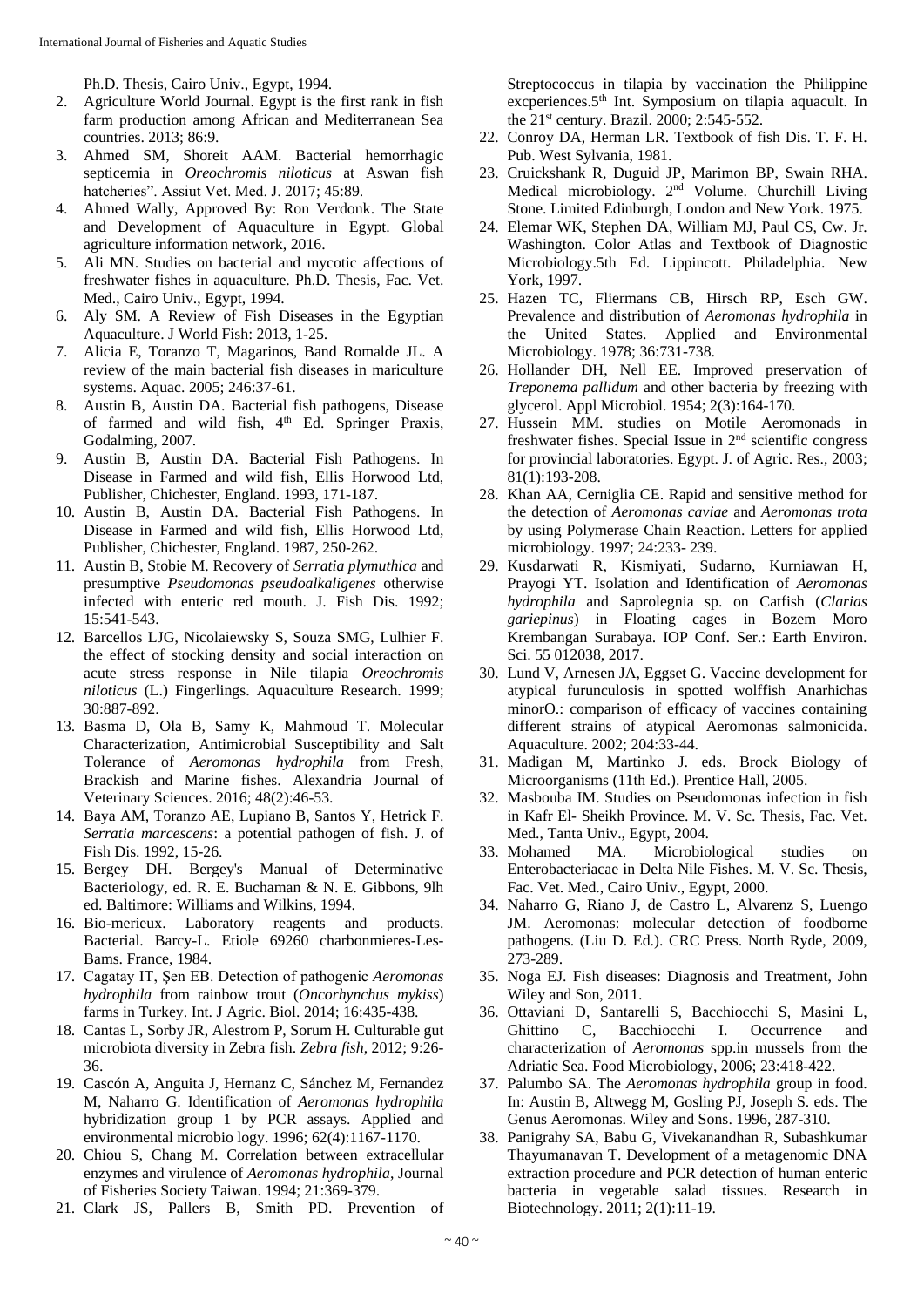Ph.D. Thesis, Cairo Univ., Egypt, 1994.

- 2. Agriculture World Journal. Egypt is the first rank in fish farm production among African and Mediterranean Sea countries. 2013; 86:9.
- 3. Ahmed SM, Shoreit AAM. Bacterial hemorrhagic septicemia in *Oreochromis niloticus* at Aswan fish hatcheries". Assiut Vet. Med. J. 2017; 45:89.
- 4. Ahmed Wally, Approved By: Ron Verdonk. The State and Development of Aquaculture in Egypt. Global agriculture information network, 2016.
- 5. Ali MN. Studies on bacterial and mycotic affections of freshwater fishes in aquaculture. Ph.D. Thesis, Fac. Vet. Med., Cairo Univ., Egypt, 1994.
- 6. Aly SM. A Review of Fish Diseases in the Egyptian Aquaculture. J World Fish: 2013, 1-25.
- 7. Alicia E, Toranzo T, Magarinos, Band Romalde JL. A review of the main bacterial fish diseases in mariculture systems. Aquac. 2005; 246:37-61.
- 8. Austin B, Austin DA. Bacterial fish pathogens, Disease of farmed and wild fish, 4<sup>th</sup> Ed. Springer Praxis, Godalming, 2007.
- 9. Austin B, Austin DA. Bacterial Fish Pathogens. In Disease in Farmed and wild fish, Ellis Horwood Ltd, Publisher, Chichester, England. 1993, 171-187.
- 10. Austin B, Austin DA. Bacterial Fish Pathogens. In Disease in Farmed and wild fish, Ellis Horwood Ltd, Publisher, Chichester, England. 1987, 250-262.
- 11. Austin B, Stobie M. Recovery of *Serratia plymuthica* and presumptive *Pseudomonas pseudoalkaligenes* otherwise infected with enteric red mouth. J. Fish Dis. 1992; 15:541-543.
- 12. Barcellos LJG, Nicolaiewsky S, Souza SMG, Lulhier F. the effect of stocking density and social interaction on acute stress response in Nile tilapia *Oreochromis niloticus* (L.) Fingerlings. Aquaculture Research. 1999; 30:887-892.
- 13. Basma D, Ola B, Samy K, Mahmoud T. Molecular Characterization, Antimicrobial Susceptibility and Salt Tolerance of *Aeromonas hydrophila* from Fresh, Brackish and Marine fishes. Alexandria Journal of Veterinary Sciences. 2016; 48(2):46-53.
- 14. Baya AM, Toranzo AE, Lupiano B, Santos Y, Hetrick F. *Serratia marcescens*: a potential pathogen of fish. J. of Fish Dis. 1992, 15-26.
- 15. Bergey DH. Bergey's Manual of Determinative Bacteriology, ed. R. E. Buchaman & N. E. Gibbons, 9lh ed. Baltimore: Williams and Wilkins, 1994.
- 16. Bio-merieux. Laboratory reagents and products. Bacterial. Barcy-L. Etiole 69260 charbonmieres-Les-Bams. France, 1984.
- 17. Cagatay IT, Şen EB. Detection of pathogenic *Aeromonas hydrophila* from rainbow trout (*Oncorhynchus mykiss*) farms in Turkey. Int. J Agric. Biol. 2014; 16:435-438.
- 18. Cantas L, Sorby JR, Alestrom P, Sorum H. Culturable gut microbiota diversity in Zebra fish. *Zebra fish*, 2012; 9:26- 36.
- 19. Cascón A, Anguita J, Hernanz C, Sánchez M, Fernandez M, Naharro G. Identification of *Aeromonas hydrophila* hybridization group 1 by PCR assays. Applied and environmental microbio logy. 1996; 62(4):1167-1170.
- 20. Chiou S, Chang M. Correlation between extracellular enzymes and virulence of *Aeromonas hydrophila*, Journal of Fisheries Society Taiwan. 1994; 21:369-379.
- 21. Clark JS, Pallers B, Smith PD. Prevention of

Streptococcus in tilapia by vaccination the Philippine excperiences.5th Int. Symposium on tilapia aquacult. In the 21st century. Brazil. 2000; 2:545-552.

- 22. Conroy DA, Herman LR. Textbook of fish Dis. T. F. H. Pub. West Sylvania, 1981.
- 23. Cruickshank R, Duguid JP, Marimon BP, Swain RHA. Medical microbiology. 2nd Volume. Churchill Living Stone. Limited Edinburgh, London and New York. 1975.
- 24. Elemar WK, Stephen DA, William MJ, Paul CS, Cw. Jr. Washington. Color Atlas and Textbook of Diagnostic Microbiology.5th Ed. Lippincott. Philadelphia. New York, 1997.
- 25. Hazen TC, Fliermans CB, Hirsch RP, Esch GW. Prevalence and distribution of *Aeromonas hydrophila* in the United States. Applied and Environmental Microbiology. 1978; 36:731-738.
- 26. Hollander DH, Nell EE. Improved preservation of *Treponema pallidum* and other bacteria by freezing with glycerol. Appl Microbiol. 1954; 2(3):164-170.
- 27. Hussein MM. studies on Motile Aeromonads in freshwater fishes. Special Issue in  $2<sup>nd</sup>$  scientific congress for provincial laboratories. Egypt. J. of Agric. Res., 2003; 81(1):193-208.
- 28. Khan AA, Cerniglia CE. Rapid and sensitive method for the detection of *Aeromonas caviae* and *Aeromonas trota* by using Polymerase Chain Reaction. Letters for applied microbiology. 1997; 24:233- 239.
- 29. Kusdarwati R, Kismiyati, Sudarno, Kurniawan H, Prayogi YT. Isolation and Identification of *Aeromonas hydrophila* and Saprolegnia sp. on Catfish (*Clarias gariepinus*) in Floating cages in Bozem Moro Krembangan Surabaya. IOP Conf. Ser.: Earth Environ. Sci. 55 012038, 2017.
- 30. Lund V, Arnesen JA, Eggset G. Vaccine development for atypical furunculosis in spotted wolffish Anarhichas minorO.: comparison of efficacy of vaccines containing different strains of atypical Aeromonas salmonicida. Aquaculture. 2002; 204:33-44.
- 31. Madigan M, Martinko J. eds. Brock Biology of Microorganisms (11th Ed.). Prentice Hall, 2005.
- 32. Masbouba IM. Studies on Pseudomonas infection in fish in Kafr El- Sheikh Province. M. V. Sc. Thesis, Fac. Vet. Med., Tanta Univ., Egypt, 2004.
- 33. Mohamed MA. Microbiological studies on Enterobacteriacae in Delta Nile Fishes. M. V. Sc. Thesis, Fac. Vet. Med., Cairo Univ., Egypt, 2000.
- 34. Naharro G, Riano J, de Castro L, Alvarenz S, Luengo JM. Aeromonas: molecular detection of foodborne pathogens. (Liu D. Ed.). CRC Press. North Ryde, 2009, 273-289.
- 35. Noga EJ. Fish diseases: Diagnosis and Treatment, John Wiley and Son, 2011.
- 36. Ottaviani D, Santarelli S, Bacchiocchi S, Masini L, Ghittino C, Bacchiocchi I. Occurrence and characterization of *Aeromonas* spp.in mussels from the Adriatic Sea. Food Microbiology, 2006; 23:418-422.
- 37. Palumbo SA. The *Aeromonas hydrophila* group in food. In: Austin B, Altwegg M, Gosling PJ, Joseph S. eds. The Genus Aeromonas. Wiley and Sons. 1996, 287-310.
- 38. Panigrahy SA, Babu G, Vivekanandhan R, Subashkumar Thayumanavan T. Development of a metagenomic DNA extraction procedure and PCR detection of human enteric bacteria in vegetable salad tissues. Research in Biotechnology. 2011; 2(1):11-19.